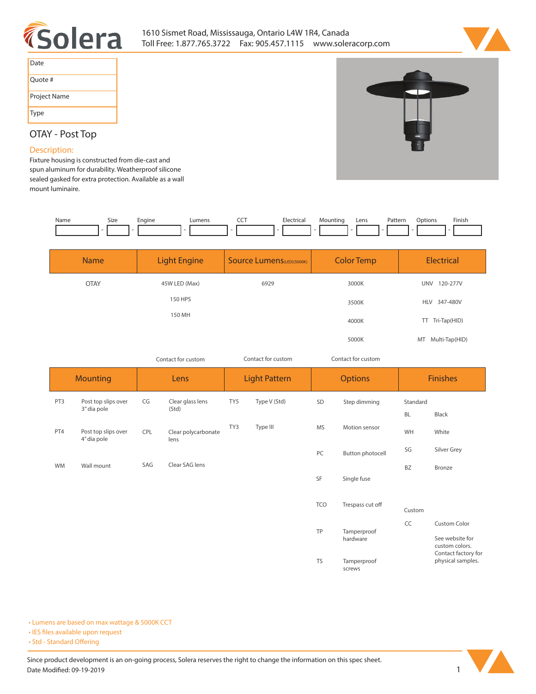



| Date         |  |
|--------------|--|
| Quote #      |  |
| Project Name |  |
| Type         |  |

# **OTAY - Post Top**

## **Description:**

**Fixture housing is constructed from die-cast and spun aluminum for durability. Weatherproof silicone sealed gasked for extra protection. Available as a wall mount luminaire.** 

| Name | -<br>Size<br>$\sim$ $\sim$ | naine | Lumen: | ---<br>ุ<br>___ | :lectrical<br>. | Mountin <sup>,</sup> | Lens<br>____ | Pattern<br>. | <i>cotions</i><br>. | Finish<br>$\cdots$ |
|------|----------------------------|-------|--------|-----------------|-----------------|----------------------|--------------|--------------|---------------------|--------------------|
|      |                            |       |        |                 |                 |                      |              |              |                     |                    |

| <b>Name</b> | <b>Light Engine</b> | <b>Source Lumens</b> (LED)(5000K) | <b>Color Temp</b> | <b>Electrical</b>      |
|-------------|---------------------|-----------------------------------|-------------------|------------------------|
| <b>OTAY</b> | 45W LED (Max)       | 6929                              | 3000K             | 120-277V<br><b>UNV</b> |
|             | 150 HPS             |                                   | 3500K             | HLV 347-480V           |
|             | 150 MH              |                                   | 4000K             | TT Tri-Tap(HID)        |
|             |                     |                                   | 5000K             | Multi-Tap(HID)<br>MT   |

*Contact for custom*

*Contact for custom Contact for custom*

| <b>Mounting</b> |                                    | Lens  |                             | <b>Light Pattern</b> |              | <b>Options</b> |                         | <b>Finishes</b> |                                                          |
|-----------------|------------------------------------|-------|-----------------------------|----------------------|--------------|----------------|-------------------------|-----------------|----------------------------------------------------------|
| PT3             | Post top slips over                | CG    | Clear glass lens            | TY5                  | Type V (Std) | SD             | Step dimming            | Standard        |                                                          |
| 3" dia pole     |                                    | (Std) |                             |                      |              |                | <b>BL</b>               | Black           |                                                          |
| PT4             | Post top slips over<br>4" dia pole | CPL   | Clear polycarbonate<br>lens | TY3                  | Type III     | <b>MS</b>      | Motion sensor           | WH              | White                                                    |
|                 |                                    |       |                             |                      |              | PC             | Button photocell        | SG              | Silver Grey                                              |
| <b>WM</b>       | Wall mount                         | SAG   | Clear SAG lens              |                      |              |                |                         | <b>BZ</b>       | Bronze                                                   |
|                 |                                    |       |                             |                      |              | SF             | Single fuse             |                 |                                                          |
|                 |                                    |       |                             |                      |              |                |                         |                 |                                                          |
|                 |                                    |       |                             |                      |              | TCO            | Trespass cut off        | Custom          |                                                          |
|                 |                                    |       |                             |                      |              |                |                         | CC              | Custom Color                                             |
|                 |                                    |       |                             |                      |              | TP             | Tamperproof<br>hardware |                 | See website for<br>custom colors.<br>Contact factory for |
|                 |                                    |       |                             |                      |              | <b>TS</b>      | Tamperproof<br>screws   |                 | physical samples.                                        |

**• Lumens are based on max wattage & 5000K CCT**

**• IES files available upon request** 

• Std - Standard Offering

Since product development is an on-going process, Solera reserves the right to change the information on this spec sheet. **Date Modified: 09-19-2019** 1